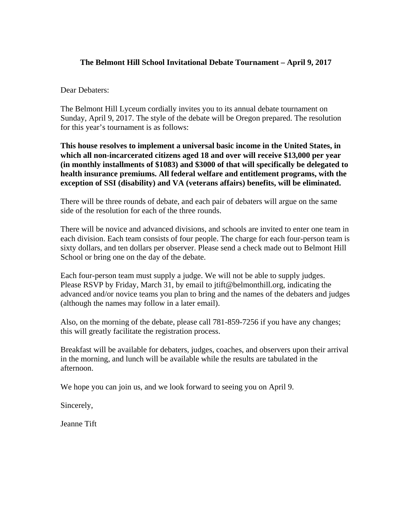# **The Belmont Hill School Invitational Debate Tournament – April 9, 2017**

Dear Debaters:

The Belmont Hill Lyceum cordially invites you to its annual debate tournament on Sunday, April 9, 2017. The style of the debate will be Oregon prepared. The resolution for this year's tournament is as follows:

**This house resolves to implement a universal basic income in the United States, in which all non-incarcerated citizens aged 18 and over will receive \$13,000 per year (in monthly installments of \$1083) and \$3000 of that will specifically be delegated to health insurance premiums. All federal welfare and entitlement programs, with the exception of SSI (disability) and VA (veterans affairs) benefits, will be eliminated.**

There will be three rounds of debate, and each pair of debaters will argue on the same side of the resolution for each of the three rounds.

There will be novice and advanced divisions, and schools are invited to enter one team in each division. Each team consists of four people. The charge for each four-person team is sixty dollars, and ten dollars per observer. Please send a check made out to Belmont Hill School or bring one on the day of the debate.

Each four-person team must supply a judge. We will not be able to supply judges. Please RSVP by Friday, March 31, by email to jtift@belmonthill.org, indicating the advanced and/or novice teams you plan to bring and the names of the debaters and judges (although the names may follow in a later email).

Also, on the morning of the debate, please call 781-859-7256 if you have any changes; this will greatly facilitate the registration process.

Breakfast will be available for debaters, judges, coaches, and observers upon their arrival in the morning, and lunch will be available while the results are tabulated in the afternoon.

We hope you can join us, and we look forward to seeing you on April 9.

Sincerely,

Jeanne Tift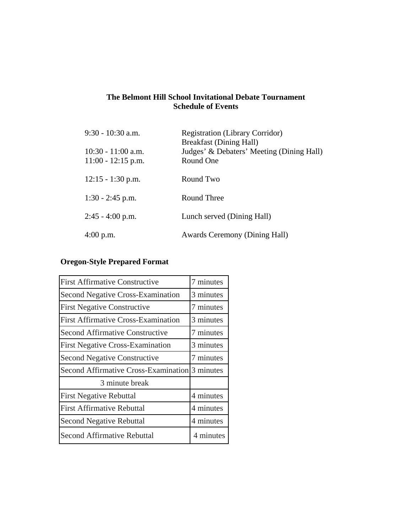# **The Belmont Hill School Invitational Debate Tournament Schedule of Events**

| $9:30 - 10:30$ a.m.                          | <b>Registration (Library Corridor)</b><br><b>Breakfast (Dining Hall)</b> |
|----------------------------------------------|--------------------------------------------------------------------------|
| $10:30 - 11:00$ a.m.<br>$11:00 - 12:15$ p.m. | Judges' & Debaters' Meeting (Dining Hall)<br>Round One                   |
| $12:15 - 1:30$ p.m.                          | Round Two                                                                |
| $1:30 - 2:45$ p.m.                           | Round Three                                                              |
| $2:45 - 4:00$ p.m.                           | Lunch served (Dining Hall)                                               |
| $4:00$ p.m.                                  | <b>Awards Ceremony (Dining Hall)</b>                                     |

# **Oregon-Style Prepared Format**

| <b>First Affirmative Constructive</b>          | 7 minutes |
|------------------------------------------------|-----------|
| <b>Second Negative Cross-Examination</b>       | 3 minutes |
| <b>First Negative Constructive</b>             | 7 minutes |
| <b>First Affirmative Cross-Examination</b>     | 3 minutes |
| <b>Second Affirmative Constructive</b>         | 7 minutes |
| <b>First Negative Cross-Examination</b>        | 3 minutes |
| <b>Second Negative Constructive</b>            | 7 minutes |
| Second Affirmative Cross-Examination 3 minutes |           |
| 3 minute break                                 |           |
| <b>First Negative Rebuttal</b>                 | 4 minutes |
| <b>First Affirmative Rebuttal</b>              | 4 minutes |
| <b>Second Negative Rebuttal</b>                | 4 minutes |
| <b>Second Affirmative Rebuttal</b>             | 4 minutes |